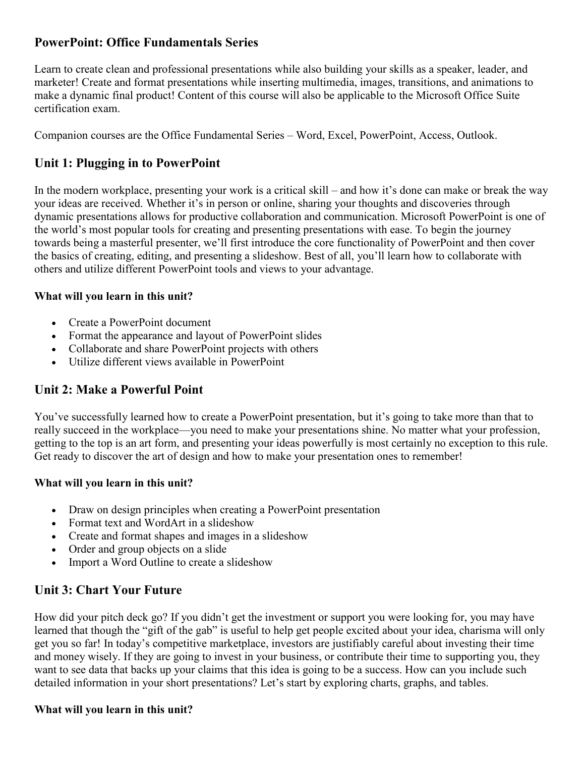## **PowerPoint: Office Fundamentals Series**

Learn to create clean and professional presentations while also building your skills as a speaker, leader, and marketer! Create and format presentations while inserting multimedia, images, transitions, and animations to make a dynamic final product! Content of this course will also be applicable to the Microsoft Office Suite certification exam.

Companion courses are the Office Fundamental Series – Word, Excel, PowerPoint, Access, Outlook.

## **Unit 1: Plugging in to PowerPoint**

In the modern workplace, presenting your work is a critical skill – and how it's done can make or break the way your ideas are received. Whether it's in person or online, sharing your thoughts and discoveries through dynamic presentations allows for productive collaboration and communication. Microsoft PowerPoint is one of the world's most popular tools for creating and presenting presentations with ease. To begin the journey towards being a masterful presenter, we'll first introduce the core functionality of PowerPoint and then cover the basics of creating, editing, and presenting a slideshow. Best of all, you'll learn how to collaborate with others and utilize different PowerPoint tools and views to your advantage.

#### **What will you learn in this unit?**

- Create a PowerPoint document
- Format the appearance and layout of PowerPoint slides
- Collaborate and share PowerPoint projects with others
- Utilize different views available in PowerPoint

## **Unit 2: Make a Powerful Point**

You've successfully learned how to create a PowerPoint presentation, but it's going to take more than that to really succeed in the workplace—you need to make your presentations shine. No matter what your profession, getting to the top is an art form, and presenting your ideas powerfully is most certainly no exception to this rule. Get ready to discover the art of design and how to make your presentation ones to remember!

#### **What will you learn in this unit?**

- Draw on design principles when creating a PowerPoint presentation
- Format text and WordArt in a slideshow
- Create and format shapes and images in a slideshow
- Order and group objects on a slide
- Import a Word Outline to create a slideshow

## **Unit 3: Chart Your Future**

How did your pitch deck go? If you didn't get the investment or support you were looking for, you may have learned that though the "gift of the gab" is useful to help get people excited about your idea, charisma will only get you so far! In today's competitive marketplace, investors are justifiably careful about investing their time and money wisely. If they are going to invest in your business, or contribute their time to supporting you, they want to see data that backs up your claims that this idea is going to be a success. How can you include such detailed information in your short presentations? Let's start by exploring charts, graphs, and tables.

#### **What will you learn in this unit?**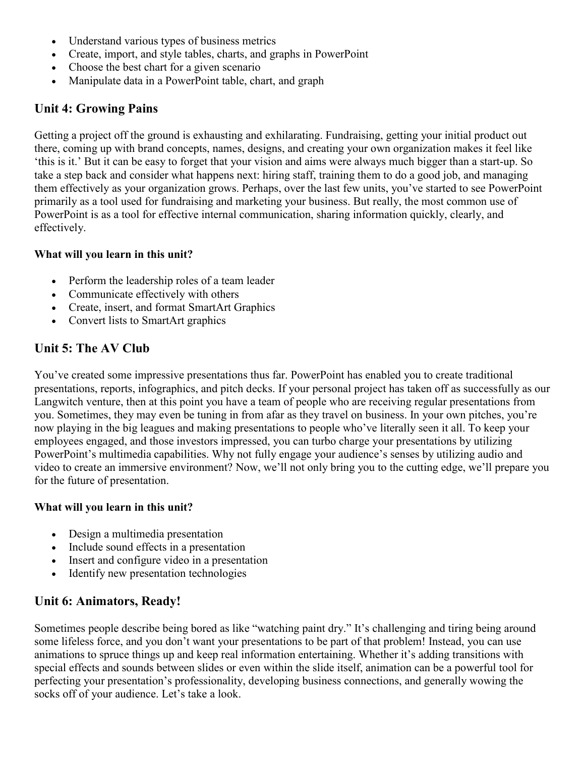- Understand various types of business metrics
- Create, import, and style tables, charts, and graphs in PowerPoint
- Choose the best chart for a given scenario
- Manipulate data in a PowerPoint table, chart, and graph

# **Unit 4: Growing Pains**

Getting a project off the ground is exhausting and exhilarating. Fundraising, getting your initial product out there, coming up with brand concepts, names, designs, and creating your own organization makes it feel like 'this is it.' But it can be easy to forget that your vision and aims were always much bigger than a start-up. So take a step back and consider what happens next: hiring staff, training them to do a good job, and managing them effectively as your organization grows. Perhaps, over the last few units, you've started to see PowerPoint primarily as a tool used for fundraising and marketing your business. But really, the most common use of PowerPoint is as a tool for effective internal communication, sharing information quickly, clearly, and effectively.

### **What will you learn in this unit?**

- Perform the leadership roles of a team leader
- Communicate effectively with others
- Create, insert, and format SmartArt Graphics
- Convert lists to SmartArt graphics

# **Unit 5: The AV Club**

You've created some impressive presentations thus far. PowerPoint has enabled you to create traditional presentations, reports, infographics, and pitch decks. If your personal project has taken off as successfully as our Langwitch venture, then at this point you have a team of people who are receiving regular presentations from you. Sometimes, they may even be tuning in from afar as they travel on business. In your own pitches, you're now playing in the big leagues and making presentations to people who've literally seen it all. To keep your employees engaged, and those investors impressed, you can turbo charge your presentations by utilizing PowerPoint's multimedia capabilities. Why not fully engage your audience's senses by utilizing audio and video to create an immersive environment? Now, we'll not only bring you to the cutting edge, we'll prepare you for the future of presentation.

### **What will you learn in this unit?**

- Design a multimedia presentation
- Include sound effects in a presentation
- Insert and configure video in a presentation
- Identify new presentation technologies

# **Unit 6: Animators, Ready!**

Sometimes people describe being bored as like "watching paint dry." It's challenging and tiring being around some lifeless force, and you don't want your presentations to be part of that problem! Instead, you can use animations to spruce things up and keep real information entertaining. Whether it's adding transitions with special effects and sounds between slides or even within the slide itself, animation can be a powerful tool for perfecting your presentation's professionality, developing business connections, and generally wowing the socks off of your audience. Let's take a look.